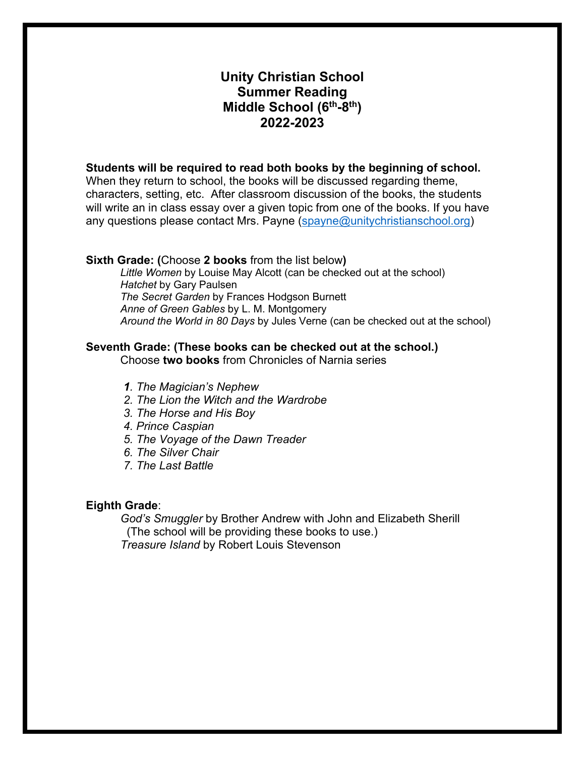# **Unity Christian School Summer Reading Middle School (6th-8th) 2022-2023**

# **Students will be required to read both books by the beginning of school.**

When they return to school, the books will be discussed regarding theme, characters, setting, etc. After classroom discussion of the books, the students will write an in class essay over a given topic from one of the books. If you have any questions please contact Mrs. Payne (spayne@unitychristianschool.org)

#### **Sixth Grade: (**Choose **2 books** from the list below**)**

*Little Women* by Louise May Alcott (can be checked out at the school) *Hatchet* by Gary Paulsen *The Secret Garden* by Frances Hodgson Burnett *Anne of Green Gables* by L. M. Montgomery *Around the World in 80 Days* by Jules Verne (can be checked out at the school)

## **Seventh Grade: (These books can be checked out at the school.)**

Choose **two books** from Chronicles of Narnia series

- *1. The Magician's Nephew*
- *2. The Lion the Witch and the Wardrobe*
- *3. The Horse and His Boy*
- *4. Prince Caspian*
- *5. The Voyage of the Dawn Treader*
- *6. The Silver Chair*
- *7. The Last Battle*

#### **Eighth Grade**:

*God's Smuggler* by Brother Andrew with John and Elizabeth Sherill (The school will be providing these books to use.) *Treasure Island* by Robert Louis Stevenson